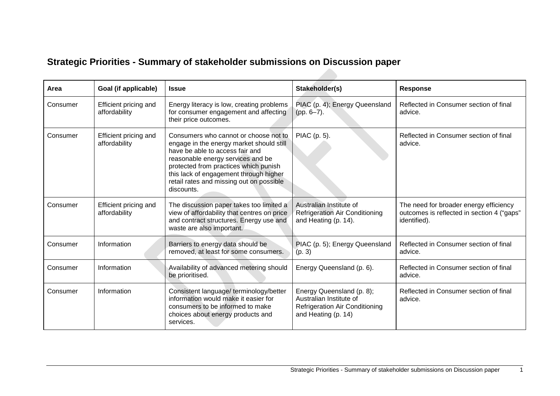## **Strategic Priorities - Summary of stakeholder submissions on Discussion paper**

| Area     | Goal (if applicable)                   | <b>Issue</b>                                                                                                                                                                                                                                                                                           | Stakeholder(s)                                                                                                       | <b>Response</b>                                                                                      |
|----------|----------------------------------------|--------------------------------------------------------------------------------------------------------------------------------------------------------------------------------------------------------------------------------------------------------------------------------------------------------|----------------------------------------------------------------------------------------------------------------------|------------------------------------------------------------------------------------------------------|
| Consumer | Efficient pricing and<br>affordability | Energy literacy is low, creating problems<br>for consumer engagement and affecting<br>their price outcomes.                                                                                                                                                                                            | PIAC (p. 4); Energy Queensland<br>$(pp. 6-7).$                                                                       | Reflected in Consumer section of final<br>advice.                                                    |
| Consumer | Efficient pricing and<br>affordability | Consumers who cannot or choose not to<br>engage in the energy market should still<br>have be able to access fair and<br>reasonable energy services and be<br>protected from practices which punish<br>this lack of engagement through higher<br>retail rates and missing out on possible<br>discounts. | PIAC (p. 5).                                                                                                         | Reflected in Consumer section of final<br>advice.                                                    |
| Consumer | Efficient pricing and<br>affordability | The discussion paper takes too limited a<br>view of affordability that centres on price<br>and contract structures. Energy use and<br>waste are also important.                                                                                                                                        | Australian Institute of<br>Refrigeration Air Conditioning<br>and Heating (p. 14).                                    | The need for broader energy efficiency<br>outcomes is reflected in section 4 ("gaps"<br>identified). |
| Consumer | Information                            | Barriers to energy data should be<br>removed, at least for some consumers.                                                                                                                                                                                                                             | PIAC (p. 5); Energy Queensland<br>(p. 3)                                                                             | Reflected in Consumer section of final<br>advice.                                                    |
| Consumer | Information                            | Availability of advanced metering should<br>be prioritised.                                                                                                                                                                                                                                            | Energy Queensland (p. 6).                                                                                            | Reflected in Consumer section of final<br>advice.                                                    |
| Consumer | Information                            | Consistent language/terminology/better<br>information would make it easier for<br>consumers to be informed to make<br>choices about energy products and<br>services.                                                                                                                                   | Energy Queensland (p. 8);<br>Australian Institute of<br><b>Refrigeration Air Conditioning</b><br>and Heating (p. 14) | Reflected in Consumer section of final<br>advice.                                                    |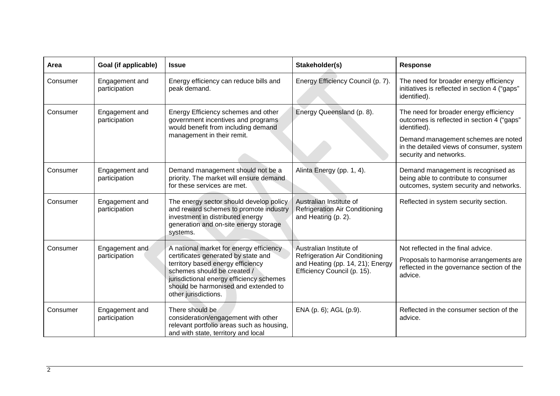| Area     | <b>Goal (if applicable)</b>     | <b>Issue</b>                                                                                                                                                                                                                                                   | Stakeholder(s)                                                                                                                      | <b>Response</b>                                                                                                                        |
|----------|---------------------------------|----------------------------------------------------------------------------------------------------------------------------------------------------------------------------------------------------------------------------------------------------------------|-------------------------------------------------------------------------------------------------------------------------------------|----------------------------------------------------------------------------------------------------------------------------------------|
| Consumer | Engagement and<br>participation | Energy efficiency can reduce bills and<br>peak demand.                                                                                                                                                                                                         | Energy Efficiency Council (p. 7).                                                                                                   | The need for broader energy efficiency<br>initiatives is reflected in section 4 ("gaps"<br>identified).                                |
| Consumer | Engagement and<br>participation | Energy Efficiency schemes and other<br>government incentives and programs<br>would benefit from including demand                                                                                                                                               | Energy Queensland (p. 8).                                                                                                           | The need for broader energy efficiency<br>outcomes is reflected in section 4 ("gaps"<br>identified).                                   |
|          |                                 | management in their remit.                                                                                                                                                                                                                                     |                                                                                                                                     | Demand management schemes are noted<br>in the detailed views of consumer, system<br>security and networks.                             |
| Consumer | Engagement and<br>participation | Demand management should not be a<br>priority. The market will ensure demand<br>for these services are met.                                                                                                                                                    | Alinta Energy (pp. 1, 4).                                                                                                           | Demand management is recognised as<br>being able to contribute to consumer<br>outcomes, system security and networks.                  |
| Consumer | Engagement and<br>participation | The energy sector should develop policy<br>and reward schemes to promote industry<br>investment in distributed energy<br>generation and on-site energy storage<br>systems.                                                                                     | Australian Institute of<br><b>Refrigeration Air Conditioning</b><br>and Heating (p. 2).                                             | Reflected in system security section.                                                                                                  |
| Consumer | Engagement and<br>participation | A national market for energy efficiency<br>certificates generated by state and<br>territory based energy efficiency<br>schemes should be created /<br>jurisdictional energy efficiency schemes<br>should be harmonised and extended to<br>other jurisdictions. | Australian Institute of<br><b>Refrigeration Air Conditioning</b><br>and Heating (pp. 14, 21); Energy<br>Efficiency Council (p. 15). | Not reflected in the final advice.<br>Proposals to harmonise arrangements are<br>reflected in the governance section of the<br>advice. |
| Consumer | Engagement and<br>participation | There should be<br>consideration/engagement with other<br>relevant portfolio areas such as housing,<br>and with state, territory and local                                                                                                                     | ENA (p. 6); AGL (p.9).                                                                                                              | Reflected in the consumer section of the<br>advice.                                                                                    |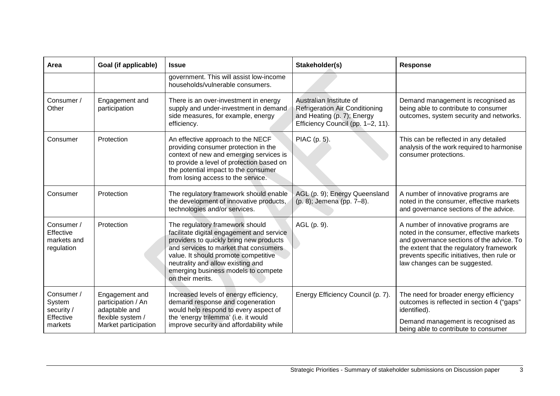| Area                                                       | Goal (if applicable)                                                                               | <b>Issue</b>                                                                                                                                                                                                                                                                                             | Stakeholder(s)                                                                                                                      | <b>Response</b>                                                                                                                                                                                                                                          |
|------------------------------------------------------------|----------------------------------------------------------------------------------------------------|----------------------------------------------------------------------------------------------------------------------------------------------------------------------------------------------------------------------------------------------------------------------------------------------------------|-------------------------------------------------------------------------------------------------------------------------------------|----------------------------------------------------------------------------------------------------------------------------------------------------------------------------------------------------------------------------------------------------------|
|                                                            |                                                                                                    | government. This will assist low-income<br>households/vulnerable consumers.                                                                                                                                                                                                                              |                                                                                                                                     |                                                                                                                                                                                                                                                          |
| Consumer /<br>Other                                        | Engagement and<br>participation                                                                    | There is an over-investment in energy<br>supply and under-investment in demand<br>side measures, for example, energy<br>efficiency.                                                                                                                                                                      | Australian Institute of<br><b>Refrigeration Air Conditioning</b><br>and Heating (p. 7); Energy<br>Efficiency Council (pp. 1-2, 11). | Demand management is recognised as<br>being able to contribute to consumer<br>outcomes, system security and networks.                                                                                                                                    |
| Consumer                                                   | Protection                                                                                         | An effective approach to the NECF<br>providing consumer protection in the<br>context of new and emerging services is<br>to provide a level of protection based on<br>the potential impact to the consumer<br>from losing access to the service.                                                          | PIAC (p. 5).                                                                                                                        | This can be reflected in any detailed<br>analysis of the work required to harmonise<br>consumer protections.                                                                                                                                             |
| Consumer                                                   | Protection                                                                                         | The regulatory framework should enable<br>the development of innovative products,<br>technologies and/or services.                                                                                                                                                                                       | AGL (p. 9); Energy Queensland<br>(p. 8); Jemena (pp. 7-8).                                                                          | A number of innovative programs are<br>noted in the consumer, effective markets<br>and governance sections of the advice.                                                                                                                                |
| Consumer /<br>Effective<br>markets and<br>regulation       | Protection                                                                                         | The regulatory framework should<br>facilitate digital engagement and service<br>providers to quickly bring new products<br>and services to market that consumers<br>value. It should promote competitive<br>neutrality and allow existing and<br>emerging business models to compete<br>on their merits. | AGL (p. 9).                                                                                                                         | A number of innovative programs are<br>noted in the consumer, effective markets<br>and governance sections of the advice. To<br>the extent that the regulatory framework<br>prevents specific initiatives, then rule or<br>law changes can be suggested. |
| Consumer /<br>System<br>security /<br>Effective<br>markets | Engagement and<br>participation / An<br>adaptable and<br>flexible system /<br>Market participation | Increased levels of energy efficiency,<br>demand response and cogeneration<br>would help respond to every aspect of<br>the 'energy trilemma' (i.e. it would<br>improve security and affordability while                                                                                                  | Energy Efficiency Council (p. 7).                                                                                                   | The need for broader energy efficiency<br>outcomes is reflected in section 4 ("gaps"<br>identified).<br>Demand management is recognised as<br>being able to contribute to consumer                                                                       |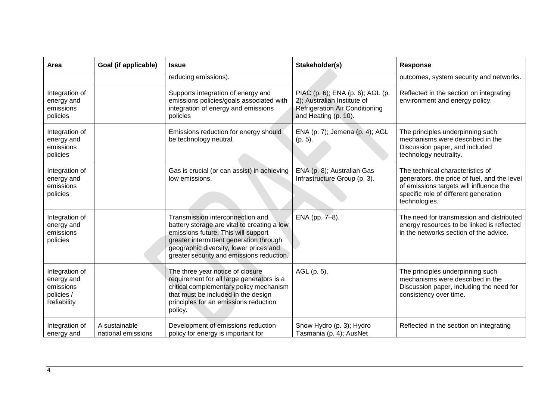| Area                                                                   | Goal (if applicable)                | <b>Issue</b>                                                                                                                                                                                                                                             | Stakeholder(s)                                                                                                                   | <b>Response</b>                                                                                                                                                                       |
|------------------------------------------------------------------------|-------------------------------------|----------------------------------------------------------------------------------------------------------------------------------------------------------------------------------------------------------------------------------------------------------|----------------------------------------------------------------------------------------------------------------------------------|---------------------------------------------------------------------------------------------------------------------------------------------------------------------------------------|
|                                                                        |                                     | reducing emissions).                                                                                                                                                                                                                                     |                                                                                                                                  | outcomes, system security and networks.                                                                                                                                               |
| Integration of<br>energy and<br>emissions<br>policies                  |                                     | Supports integration of energy and<br>emissions policies/goals associated with<br>integration of energy and emissions<br>policies                                                                                                                        | PIAC (p. 6); ENA (p. 6); AGL (p.<br>2); Australian Institute of<br><b>Refrigeration Air Conditioning</b><br>and Heating (p. 10). | Reflected in the section on integrating<br>environment and energy policy.                                                                                                             |
| Integration of<br>energy and<br>emissions<br>policies                  |                                     | Emissions reduction for energy should<br>be technology neutral.                                                                                                                                                                                          | ENA (p. 7); Jemena (p. 4); AGL<br>$(p. 5)$ .                                                                                     | The principles underpinning such<br>mechanisms were described in the<br>Discussion paper, and included<br>technology neutrality.                                                      |
| Integration of<br>energy and<br>emissions<br>policies                  |                                     | Gas is crucial (or can assist) in achieving<br>low emissions.                                                                                                                                                                                            | ENA (p. 8); Australian Gas<br>Infrastructure Group (p. 3).                                                                       | The technical characteristics of<br>generators, the price of fuel, and the level<br>of emissions targets will influence the<br>specific role of different generation<br>technologies. |
| Integration of<br>energy and<br>emissions<br>policies                  |                                     | Transmission interconnection and<br>battery storage are vital to creating a low<br>emissions future. This will support<br>greater intermittent generation through<br>geographic diversity, lower prices and<br>greater security and emissions reduction. | ENA (pp. 7-8).                                                                                                                   | The need for transmission and distributed<br>energy resources to be linked is reflected<br>in the networks section of the advice.                                                     |
| Integration of<br>energy and<br>emissions<br>policies /<br>Reliability |                                     | The three year notice of closure<br>requirement for all large generators is a<br>critical complementary policy mechanism<br>that must be included in the design<br>principles for an emissions reduction<br>policy.                                      | AGL (p. 5).                                                                                                                      | The principles underpinning such<br>mechanisms were described in the<br>Discussion paper, including the need for<br>consistency over time.                                            |
| Integration of<br>energy and                                           | A sustainable<br>national emissions | Development of emissions reduction<br>policy for energy is important for                                                                                                                                                                                 | Snow Hydro (p. 3); Hydro<br>Tasmania (p. 4); AusNet                                                                              | Reflected in the section on integrating                                                                                                                                               |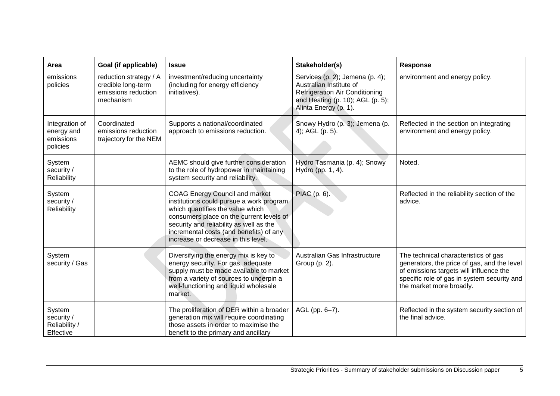| Area                                                  | Goal (if applicable)                                                             | <b>Issue</b>                                                                                                                                                                                                                                                                                   | Stakeholder(s)                                                                                                                                                   | <b>Response</b>                                                                                                                                                                                           |
|-------------------------------------------------------|----------------------------------------------------------------------------------|------------------------------------------------------------------------------------------------------------------------------------------------------------------------------------------------------------------------------------------------------------------------------------------------|------------------------------------------------------------------------------------------------------------------------------------------------------------------|-----------------------------------------------------------------------------------------------------------------------------------------------------------------------------------------------------------|
| emissions<br>policies                                 | reduction strategy / A<br>credible long-term<br>emissions reduction<br>mechanism | investment/reducing uncertainty<br>(including for energy efficiency<br>initiatives).                                                                                                                                                                                                           | Services (p. 2); Jemena (p. 4);<br>Australian Institute of<br><b>Refrigeration Air Conditioning</b><br>and Heating (p. 10); AGL (p. 5);<br>Alinta Energy (p. 1). | environment and energy policy.                                                                                                                                                                            |
| Integration of<br>energy and<br>emissions<br>policies | Coordinated<br>emissions reduction<br>trajectory for the NEM                     | Supports a national/coordinated<br>approach to emissions reduction.                                                                                                                                                                                                                            | Snowy Hydro (p. 3); Jemena (p.<br>4); AGL (p. 5).                                                                                                                | Reflected in the section on integrating<br>environment and energy policy.                                                                                                                                 |
| System<br>security /<br>Reliability                   |                                                                                  | AEMC should give further consideration<br>to the role of hydropower in maintaining<br>system security and reliability.                                                                                                                                                                         | Hydro Tasmania (p. 4); Snowy<br>Hydro (pp. 1, 4).                                                                                                                | Noted.                                                                                                                                                                                                    |
| System<br>security /<br>Reliability                   |                                                                                  | <b>COAG Energy Council and market</b><br>institutions could pursue a work program<br>which quantifies the value which<br>consumers place on the current levels of<br>security and reliability as well as the<br>incremental costs (and benefits) of any<br>increase or decrease in this level. | PIAC (p. 6).                                                                                                                                                     | Reflected in the reliability section of the<br>advice.                                                                                                                                                    |
| System<br>security / Gas                              |                                                                                  | Diversifying the energy mix is key to<br>energy security. For gas, adequate<br>supply must be made available to market<br>from a variety of sources to underpin a<br>well-functioning and liquid wholesale<br>market.                                                                          | Australian Gas Infrastructure<br>Group (p. 2).                                                                                                                   | The technical characteristics of gas<br>generators, the price of gas, and the level<br>of emissions targets will influence the<br>specific role of gas in system security and<br>the market more broadly. |
| System<br>security /<br>Reliability /<br>Effective    |                                                                                  | The proliferation of DER within a broader<br>generation mix will require coordinating<br>those assets in order to maximise the<br>benefit to the primary and ancillary                                                                                                                         | AGL (pp. 6-7).                                                                                                                                                   | Reflected in the system security section of<br>the final advice.                                                                                                                                          |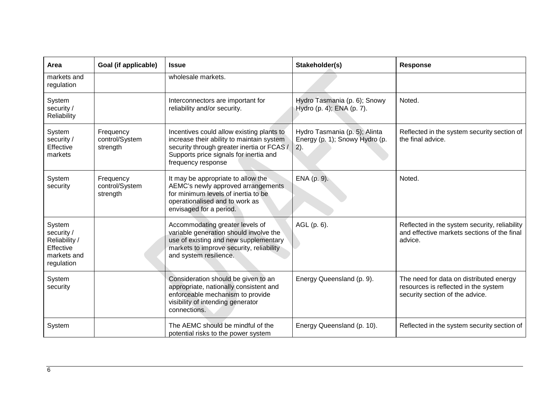| Area                                                                            | Goal (if applicable)                    | <b>Issue</b>                                                                                                                                                                                         | Stakeholder(s)                                                          | <b>Response</b>                                                                                                    |
|---------------------------------------------------------------------------------|-----------------------------------------|------------------------------------------------------------------------------------------------------------------------------------------------------------------------------------------------------|-------------------------------------------------------------------------|--------------------------------------------------------------------------------------------------------------------|
| markets and<br>regulation                                                       |                                         | wholesale markets.                                                                                                                                                                                   |                                                                         |                                                                                                                    |
| System<br>security /<br>Reliability                                             |                                         | Interconnectors are important for<br>reliability and/or security.                                                                                                                                    | Hydro Tasmania (p. 6); Snowy<br>Hydro (p. 4); ENA (p. 7).               | Noted.                                                                                                             |
| System<br>security /<br>Effective<br>markets                                    | Frequency<br>control/System<br>strength | Incentives could allow existing plants to<br>increase their ability to maintain system<br>security through greater inertia or FCAS /<br>Supports price signals for inertia and<br>frequency response | Hydro Tasmania (p. 5); Alinta<br>Energy (p. 1); Snowy Hydro (p.<br>(2). | Reflected in the system security section of<br>the final advice.                                                   |
| System<br>security                                                              | Frequency<br>control/System<br>strength | It may be appropriate to allow the<br>AEMC's newly approved arrangements<br>for minimum levels of inertia to be<br>operationalised and to work as<br>envisaged for a period.                         | ENA (p. 9).                                                             | Noted.                                                                                                             |
| System<br>security /<br>Reliability /<br>Effective<br>markets and<br>regulation |                                         | Accommodating greater levels of<br>variable generation should involve the<br>use of existing and new supplementary<br>markets to improve security, reliability<br>and system resilience.             | AGL (p. 6).                                                             | Reflected in the system security, reliability<br>and effective markets sections of the final<br>advice.            |
| System<br>security                                                              |                                         | Consideration should be given to an<br>appropriate, nationally consistent and<br>enforceable mechanism to provide<br>visibility of intending generator<br>connections.                               | Energy Queensland (p. 9).                                               | The need for data on distributed energy<br>resources is reflected in the system<br>security section of the advice. |
| System                                                                          |                                         | The AEMC should be mindful of the<br>potential risks to the power system                                                                                                                             | Energy Queensland (p. 10).                                              | Reflected in the system security section of                                                                        |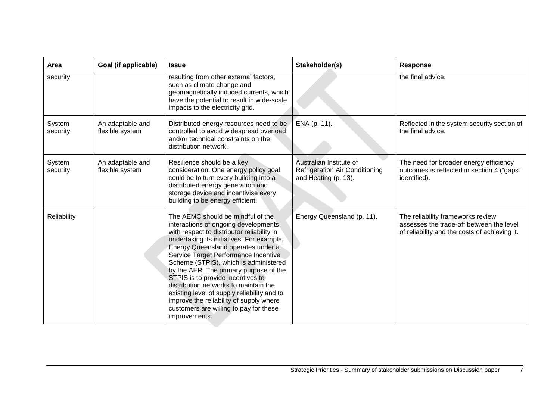| Area               | Goal (if applicable)                | <b>Issue</b>                                                                                                                                                                                                                                                                                                                                                                                                                                                                                                                                                             | Stakeholder(s)                                                                           | Response                                                                                                                       |
|--------------------|-------------------------------------|--------------------------------------------------------------------------------------------------------------------------------------------------------------------------------------------------------------------------------------------------------------------------------------------------------------------------------------------------------------------------------------------------------------------------------------------------------------------------------------------------------------------------------------------------------------------------|------------------------------------------------------------------------------------------|--------------------------------------------------------------------------------------------------------------------------------|
| security           |                                     | resulting from other external factors,<br>such as climate change and<br>geomagnetically induced currents, which<br>have the potential to result in wide-scale<br>impacts to the electricity grid.                                                                                                                                                                                                                                                                                                                                                                        |                                                                                          | the final advice.                                                                                                              |
| System<br>security | An adaptable and<br>flexible system | Distributed energy resources need to be<br>controlled to avoid widespread overload<br>and/or technical constraints on the<br>distribution network.                                                                                                                                                                                                                                                                                                                                                                                                                       | ENA (p. 11).                                                                             | Reflected in the system security section of<br>the final advice.                                                               |
| System<br>security | An adaptable and<br>flexible system | Resilience should be a key<br>consideration. One energy policy goal<br>could be to turn every building into a<br>distributed energy generation and<br>storage device and incentivise every<br>building to be energy efficient.                                                                                                                                                                                                                                                                                                                                           | Australian Institute of<br><b>Refrigeration Air Conditioning</b><br>and Heating (p. 13). | The need for broader energy efficiency<br>outcomes is reflected in section 4 ("gaps"<br>identified).                           |
| Reliability        |                                     | The AEMC should be mindful of the<br>interactions of ongoing developments<br>with respect to distributor reliability in<br>undertaking its initiatives. For example,<br>Energy Queensland operates under a<br>Service Target Performance Incentive<br>Scheme (STPIS), which is administered<br>by the AER. The primary purpose of the<br>STPIS is to provide incentives to<br>distribution networks to maintain the<br>existing level of supply reliability and to<br>improve the reliability of supply where<br>customers are willing to pay for these<br>improvements. | Energy Queensland (p. 11).                                                               | The reliability frameworks review<br>assesses the trade-off between the level<br>of reliability and the costs of achieving it. |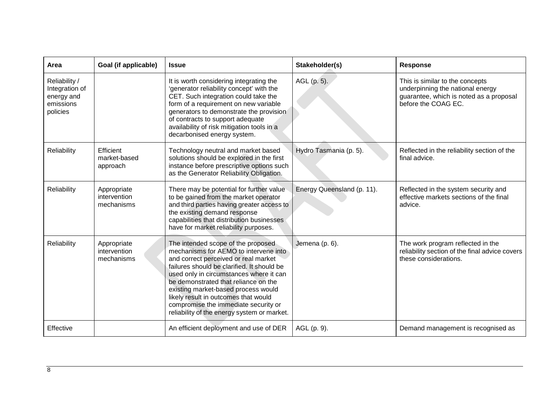| Area                                                                   | Goal (if applicable)                      | <b>Issue</b>                                                                                                                                                                                                                                                                                                                                                                                                               | Stakeholder(s)             | <b>Response</b>                                                                                                                       |
|------------------------------------------------------------------------|-------------------------------------------|----------------------------------------------------------------------------------------------------------------------------------------------------------------------------------------------------------------------------------------------------------------------------------------------------------------------------------------------------------------------------------------------------------------------------|----------------------------|---------------------------------------------------------------------------------------------------------------------------------------|
| Reliability /<br>Integration of<br>energy and<br>emissions<br>policies |                                           | It is worth considering integrating the<br>'generator reliability concept' with the<br>CET. Such integration could take the<br>form of a requirement on new variable<br>generators to demonstrate the provision<br>of contracts to support adequate<br>availability of risk mitigation tools in a<br>decarbonised energy system.                                                                                           | AGL (p. 5).                | This is similar to the concepts<br>underpinning the national energy<br>guarantee, which is noted as a proposal<br>before the COAG EC. |
| Reliability                                                            | Efficient<br>market-based<br>approach     | Technology neutral and market based<br>solutions should be explored in the first<br>instance before prescriptive options such<br>as the Generator Reliability Obligation.                                                                                                                                                                                                                                                  | Hydro Tasmania (p. 5).     | Reflected in the reliability section of the<br>final advice.                                                                          |
| Reliability                                                            | Appropriate<br>intervention<br>mechanisms | There may be potential for further value<br>to be gained from the market operator<br>and third parties having greater access to<br>the existing demand response<br>capabilities that distribution businesses<br>have for market reliability purposes.                                                                                                                                                                      | Energy Queensland (p. 11). | Reflected in the system security and<br>effective markets sections of the final<br>advice.                                            |
| Reliability                                                            | Appropriate<br>intervention<br>mechanisms | The intended scope of the proposed<br>mechanisms for AEMO to intervene into<br>and correct perceived or real market<br>failures should be clarified. It should be<br>used only in circumstances where it can<br>be demonstrated that reliance on the<br>existing market-based process would<br>likely result in outcomes that would<br>compromise the immediate security or<br>reliability of the energy system or market. | Jemena (p. 6).             | The work program reflected in the<br>reliability section of the final advice covers<br>these considerations.                          |
| Effective                                                              |                                           | An efficient deployment and use of DER                                                                                                                                                                                                                                                                                                                                                                                     | AGL (p. 9).                | Demand management is recognised as                                                                                                    |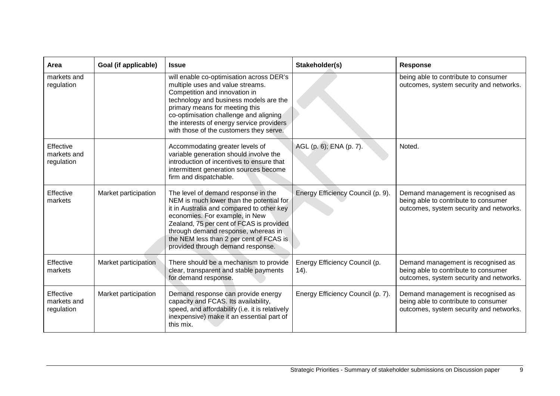| Area                                   | Goal (if applicable) | <b>Issue</b>                                                                                                                                                                                                                                                                                                                      | Stakeholder(s)                            | <b>Response</b>                                                                                                       |
|----------------------------------------|----------------------|-----------------------------------------------------------------------------------------------------------------------------------------------------------------------------------------------------------------------------------------------------------------------------------------------------------------------------------|-------------------------------------------|-----------------------------------------------------------------------------------------------------------------------|
| markets and<br>regulation              |                      | will enable co-optimisation across DER's<br>multiple uses and value streams.<br>Competition and innovation in<br>technology and business models are the<br>primary means for meeting this<br>co-optimisation challenge and aligning<br>the interests of energy service providers<br>with those of the customers they serve.       |                                           | being able to contribute to consumer<br>outcomes, system security and networks.                                       |
| Effective<br>markets and<br>regulation |                      | Accommodating greater levels of<br>variable generation should involve the<br>introduction of incentives to ensure that<br>intermittent generation sources become<br>firm and dispatchable.                                                                                                                                        | AGL (p. 6); ENA (p. 7).                   | Noted.                                                                                                                |
| Effective<br>markets                   | Market participation | The level of demand response in the<br>NEM is much lower than the potential for<br>it in Australia and compared to other key<br>economies. For example, in New<br>Zealand, 75 per cent of FCAS is provided<br>through demand response, whereas in<br>the NEM less than 2 per cent of FCAS is<br>provided through demand response. | Energy Efficiency Council (p. 9).         | Demand management is recognised as<br>being able to contribute to consumer<br>outcomes, system security and networks. |
| Effective<br>markets                   | Market participation | There should be a mechanism to provide<br>clear, transparent and stable payments<br>for demand response.                                                                                                                                                                                                                          | Energy Efficiency Council (p.<br>$(14)$ . | Demand management is recognised as<br>being able to contribute to consumer<br>outcomes, system security and networks. |
| Effective<br>markets and<br>regulation | Market participation | Demand response can provide energy<br>capacity and FCAS. Its availability,<br>speed, and affordability (i.e. it is relatively<br>inexpensive) make it an essential part of<br>this mix.                                                                                                                                           | Energy Efficiency Council (p. 7).         | Demand management is recognised as<br>being able to contribute to consumer<br>outcomes, system security and networks. |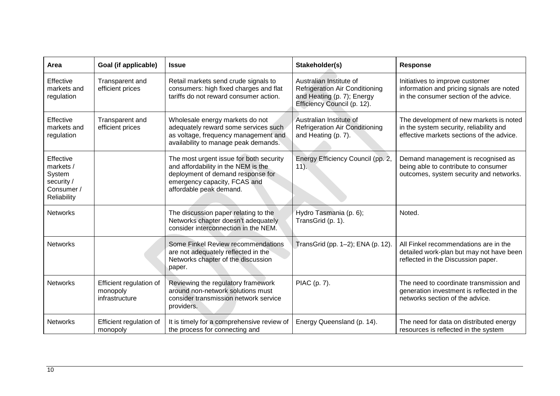| Area                                                                        | Goal (if applicable)                                  | <b>Issue</b>                                                                                                                                                                   | Stakeholder(s)                                                                                                                | <b>Response</b>                                                                                                                 |
|-----------------------------------------------------------------------------|-------------------------------------------------------|--------------------------------------------------------------------------------------------------------------------------------------------------------------------------------|-------------------------------------------------------------------------------------------------------------------------------|---------------------------------------------------------------------------------------------------------------------------------|
| Effective<br>markets and<br>regulation                                      | Transparent and<br>efficient prices                   | Retail markets send crude signals to<br>consumers: high fixed charges and flat<br>tariffs do not reward consumer action.                                                       | Australian Institute of<br><b>Refrigeration Air Conditioning</b><br>and Heating (p. 7); Energy<br>Efficiency Council (p. 12). | Initiatives to improve customer<br>information and pricing signals are noted<br>in the consumer section of the advice.          |
| Effective<br>markets and<br>regulation                                      | Transparent and<br>efficient prices                   | Wholesale energy markets do not<br>adequately reward some services such<br>as voltage, frequency management and<br>availability to manage peak demands.                        | Australian Institute of<br><b>Refrigeration Air Conditioning</b><br>and Heating (p. 7).                                       | The development of new markets is noted<br>in the system security, reliability and<br>effective markets sections of the advice. |
| Effective<br>markets /<br>System<br>security /<br>Consumer /<br>Reliability |                                                       | The most urgent issue for both security<br>and affordability in the NEM is the<br>deployment of demand response for<br>emergency capacity, FCAS and<br>affordable peak demand. | Energy Efficiency Council (pp. 2,<br>$11$ ).                                                                                  | Demand management is recognised as<br>being able to contribute to consumer<br>outcomes, system security and networks.           |
| <b>Networks</b>                                                             |                                                       | The discussion paper relating to the<br>Networks chapter doesn't adequately<br>consider interconnection in the NEM.                                                            | Hydro Tasmania (p. 6);<br>TransGrid (p. 1).                                                                                   | Noted.                                                                                                                          |
| <b>Networks</b>                                                             |                                                       | Some Finkel Review recommendations<br>are not adequately reflected in the<br>Networks chapter of the discussion<br>paper.                                                      | TransGrid (pp. 1-2); ENA (p. 12).                                                                                             | All Finkel recommendations are in the<br>detailed work-plan but may not have been<br>reflected in the Discussion paper.         |
| <b>Networks</b>                                                             | Efficient regulation of<br>monopoly<br>infrastructure | Reviewing the regulatory framework<br>around non-network solutions must<br>consider transmission network service<br>providers.                                                 | PIAC (p. 7).                                                                                                                  | The need to coordinate transmission and<br>generation investment is reflected in the<br>networks section of the advice.         |
| <b>Networks</b>                                                             | Efficient regulation of<br>monopoly                   | It is timely for a comprehensive review of<br>the process for connecting and                                                                                                   | Energy Queensland (p. 14).                                                                                                    | The need for data on distributed energy<br>resources is reflected in the system                                                 |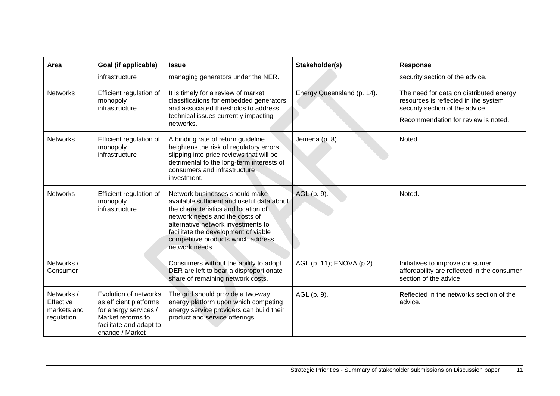| Area                                                 | Goal (if applicable)                                                                                                                        | <b>Issue</b>                                                                                                                                                                                                                                                                                | Stakeholder(s)             | <b>Response</b>                                                                                                                                           |
|------------------------------------------------------|---------------------------------------------------------------------------------------------------------------------------------------------|---------------------------------------------------------------------------------------------------------------------------------------------------------------------------------------------------------------------------------------------------------------------------------------------|----------------------------|-----------------------------------------------------------------------------------------------------------------------------------------------------------|
|                                                      | infrastructure                                                                                                                              | managing generators under the NER.                                                                                                                                                                                                                                                          |                            | security section of the advice.                                                                                                                           |
| <b>Networks</b>                                      | Efficient regulation of<br>monopoly<br>infrastructure                                                                                       | It is timely for a review of market<br>classifications for embedded generators<br>and associated thresholds to address<br>technical issues currently impacting<br>networks.                                                                                                                 | Energy Queensland (p. 14). | The need for data on distributed energy<br>resources is reflected in the system<br>security section of the advice.<br>Recommendation for review is noted. |
| <b>Networks</b>                                      | Efficient regulation of<br>monopoly<br>infrastructure                                                                                       | A binding rate of return guideline<br>heightens the risk of regulatory errors<br>slipping into price reviews that will be<br>detrimental to the long-term interests of<br>consumers and infrastructure<br>investment.                                                                       | Jemena (p. 8).             | Noted.                                                                                                                                                    |
| <b>Networks</b>                                      | Efficient regulation of<br>monopoly<br>infrastructure                                                                                       | Network businesses should make<br>available sufficient and useful data about<br>the characteristics and location of<br>network needs and the costs of<br>alternative network investments to<br>facilitate the development of viable<br>competitive products which address<br>network needs. | AGL (p. 9).                | Noted.                                                                                                                                                    |
| Networks /<br>Consumer                               |                                                                                                                                             | Consumers without the ability to adopt<br>DER are left to bear a disproportionate<br>share of remaining network costs.                                                                                                                                                                      | AGL (p. 11); ENOVA (p.2).  | Initiatives to improve consumer<br>affordability are reflected in the consumer<br>section of the advice.                                                  |
| Networks /<br>Effective<br>markets and<br>regulation | Evolution of networks<br>as efficient platforms<br>for energy services /<br>Market reforms to<br>facilitate and adapt to<br>change / Market | The grid should provide a two-way<br>energy platform upon which competing<br>energy service providers can build their<br>product and service offerings.                                                                                                                                     | AGL (p. 9).                | Reflected in the networks section of the<br>advice.                                                                                                       |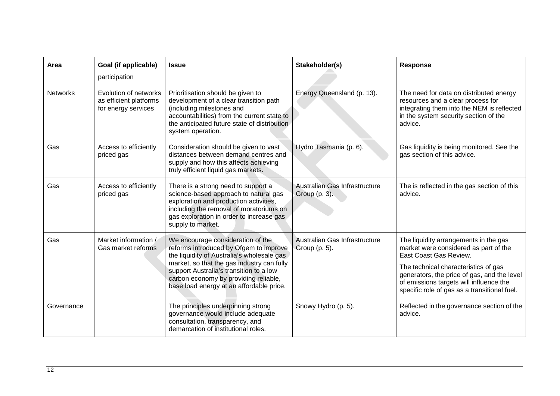| Area            | Goal (if applicable)                                                   | <b>Issue</b>                                                                                                                                                                                                                                                                                            | Stakeholder(s)                                 | <b>Response</b>                                                                                                                                                                                                                                                                            |
|-----------------|------------------------------------------------------------------------|---------------------------------------------------------------------------------------------------------------------------------------------------------------------------------------------------------------------------------------------------------------------------------------------------------|------------------------------------------------|--------------------------------------------------------------------------------------------------------------------------------------------------------------------------------------------------------------------------------------------------------------------------------------------|
|                 | participation                                                          |                                                                                                                                                                                                                                                                                                         |                                                |                                                                                                                                                                                                                                                                                            |
| <b>Networks</b> | Evolution of networks<br>as efficient platforms<br>for energy services | Prioritisation should be given to<br>development of a clear transition path<br>(including milestones and<br>accountabilities) from the current state to<br>the anticipated future state of distribution<br>system operation.                                                                            | Energy Queensland (p. 13).                     | The need for data on distributed energy<br>resources and a clear process for<br>integrating them into the NEM is reflected<br>in the system security section of the<br>advice.                                                                                                             |
| Gas             | Access to efficiently<br>priced gas                                    | Consideration should be given to vast<br>distances between demand centres and<br>supply and how this affects achieving<br>truly efficient liquid gas markets.                                                                                                                                           | Hydro Tasmania (p. 6).                         | Gas liquidity is being monitored. See the<br>gas section of this advice.                                                                                                                                                                                                                   |
| Gas             | Access to efficiently<br>priced gas                                    | There is a strong need to support a<br>science-based approach to natural gas<br>exploration and production activities,<br>including the removal of moratoriums on<br>gas exploration in order to increase gas<br>supply to market.                                                                      | Australian Gas Infrastructure<br>Group (p. 3). | The is reflected in the gas section of this<br>advice.                                                                                                                                                                                                                                     |
| Gas             | Market information /<br>Gas market reforms                             | We encourage consideration of the<br>reforms introduced by Ofgem to improve<br>the liquidity of Australia's wholesale gas<br>market, so that the gas industry can fully<br>support Australia's transition to a low<br>carbon economy by providing reliable,<br>base load energy at an affordable price. | Australian Gas Infrastructure<br>Group (p. 5). | The liquidity arrangements in the gas<br>market were considered as part of the<br>East Coast Gas Review.<br>The technical characteristics of gas<br>generators, the price of gas, and the level<br>of emissions targets will influence the<br>specific role of gas as a transitional fuel. |
| Governance      |                                                                        | The principles underpinning strong<br>governance would include adequate<br>consultation, transparency, and<br>demarcation of institutional roles.                                                                                                                                                       | Snowy Hydro (p. 5).                            | Reflected in the governance section of the<br>advice.                                                                                                                                                                                                                                      |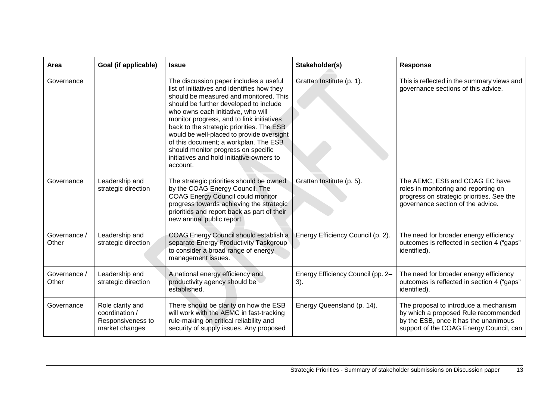| Area                  | Goal (if applicable)                                                      | <b>Issue</b>                                                                                                                                                                                                                                                                                                                                                                                                                                                                                    | Stakeholder(s)                           | Response                                                                                                                                                          |
|-----------------------|---------------------------------------------------------------------------|-------------------------------------------------------------------------------------------------------------------------------------------------------------------------------------------------------------------------------------------------------------------------------------------------------------------------------------------------------------------------------------------------------------------------------------------------------------------------------------------------|------------------------------------------|-------------------------------------------------------------------------------------------------------------------------------------------------------------------|
| Governance            |                                                                           | The discussion paper includes a useful<br>list of initiatives and identifies how they<br>should be measured and monitored. This<br>should be further developed to include<br>who owns each initiative, who will<br>monitor progress, and to link initiatives<br>back to the strategic priorities. The ESB<br>would be well-placed to provide oversight<br>of this document; a workplan. The ESB<br>should monitor progress on specific<br>initiatives and hold initiative owners to<br>account. | Grattan Institute (p. 1).                | This is reflected in the summary views and<br>governance sections of this advice.                                                                                 |
| Governance            | Leadership and<br>strategic direction                                     | The strategic priorities should be owned<br>by the COAG Energy Council. The<br><b>COAG Energy Council could monitor</b><br>progress towards achieving the strategic<br>priorities and report back as part of their<br>new annual public report.                                                                                                                                                                                                                                                 | Grattan Institute (p. 5).                | The AEMC, ESB and COAG EC have<br>roles in monitoring and reporting on<br>progress on strategic priorities. See the<br>governance section of the advice.          |
| Governance /<br>Other | Leadership and<br>strategic direction                                     | COAG Energy Council should establish a<br>separate Energy Productivity Taskgroup<br>to consider a broad range of energy<br>management issues.                                                                                                                                                                                                                                                                                                                                                   | Energy Efficiency Council (p. 2).        | The need for broader energy efficiency<br>outcomes is reflected in section 4 ("gaps"<br>identified).                                                              |
| Governance /<br>Other | Leadership and<br>strategic direction                                     | A national energy efficiency and<br>productivity agency should be<br>established.                                                                                                                                                                                                                                                                                                                                                                                                               | Energy Efficiency Council (pp. 2-<br>3). | The need for broader energy efficiency<br>outcomes is reflected in section 4 ("gaps"<br>identified).                                                              |
| Governance            | Role clarity and<br>coordination /<br>Responsiveness to<br>market changes | There should be clarity on how the ESB<br>will work with the AEMC in fast-tracking<br>rule-making on critical reliability and<br>security of supply issues. Any proposed                                                                                                                                                                                                                                                                                                                        | Energy Queensland (p. 14).               | The proposal to introduce a mechanism<br>by which a proposed Rule recommended<br>by the ESB, once it has the unanimous<br>support of the COAG Energy Council, can |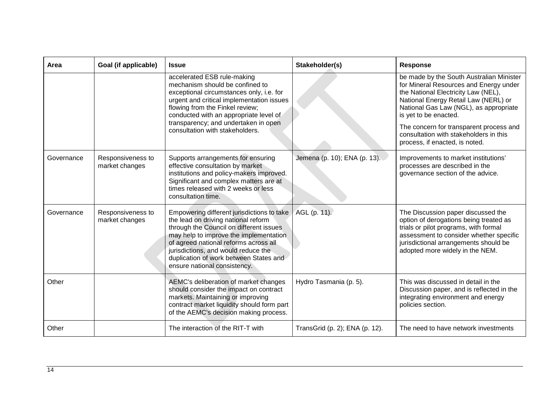| Area       | Goal (if applicable)                | <b>Issue</b>                                                                                                                                                                                                                                                                                                                     | Stakeholder(s)                 | <b>Response</b>                                                                                                                                                                                                                                                                                                                                             |
|------------|-------------------------------------|----------------------------------------------------------------------------------------------------------------------------------------------------------------------------------------------------------------------------------------------------------------------------------------------------------------------------------|--------------------------------|-------------------------------------------------------------------------------------------------------------------------------------------------------------------------------------------------------------------------------------------------------------------------------------------------------------------------------------------------------------|
|            |                                     | accelerated ESB rule-making<br>mechanism should be confined to<br>exceptional circumstances only, i.e. for<br>urgent and critical implementation issues<br>flowing from the Finkel review;<br>conducted with an appropriate level of<br>transparency; and undertaken in open<br>consultation with stakeholders.                  |                                | be made by the South Australian Minister<br>for Mineral Resources and Energy under<br>the National Electricity Law (NEL),<br>National Energy Retail Law (NERL) or<br>National Gas Law (NGL), as appropriate<br>is yet to be enacted.<br>The concern for transparent process and<br>consultation with stakeholders in this<br>process, if enacted, is noted. |
| Governance | Responsiveness to<br>market changes | Supports arrangements for ensuring<br>effective consultation by market<br>institutions and policy-makers improved.<br>Significant and complex matters are at<br>times released with 2 weeks or less<br>consultation time.                                                                                                        | Jemena (p. 10); ENA (p. 13).   | Improvements to market institutions'<br>processes are described in the<br>governance section of the advice.                                                                                                                                                                                                                                                 |
| Governance | Responsiveness to<br>market changes | Empowering different jurisdictions to take<br>the lead on driving national reform<br>through the Council on different issues<br>may help to improve the implementation<br>of agreed national reforms across all<br>jurisdictions, and would reduce the<br>duplication of work between States and<br>ensure national consistency. | AGL (p. 11).                   | The Discussion paper discussed the<br>option of derogations being treated as<br>trials or pilot programs, with formal<br>assessment to consider whether specific<br>jurisdictional arrangements should be<br>adopted more widely in the NEM.                                                                                                                |
| Other      |                                     | AEMC's deliberation of market changes<br>should consider the impact on contract<br>markets. Maintaining or improving<br>contract market liquidity should form part<br>of the AEMC's decision making process.                                                                                                                     | Hydro Tasmania (p. 5).         | This was discussed in detail in the<br>Discussion paper, and is reflected in the<br>integrating environment and energy<br>policies section.                                                                                                                                                                                                                 |
| Other      |                                     | The interaction of the RIT-T with                                                                                                                                                                                                                                                                                                | TransGrid (p. 2); ENA (p. 12). | The need to have network investments                                                                                                                                                                                                                                                                                                                        |